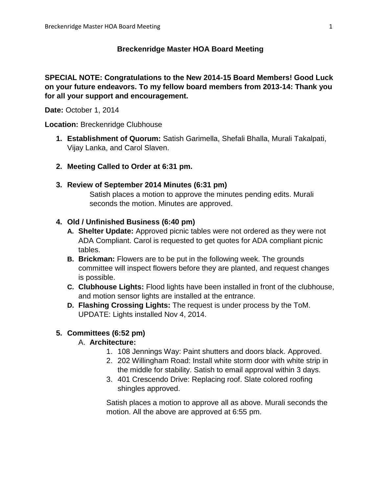### **Breckenridge Master HOA Board Meeting**

### **SPECIAL NOTE: Congratulations to the New 2014-15 Board Members! Good Luck on your future endeavors. To my fellow board members from 2013-14: Thank you for all your support and encouragement.**

**Date:** October 1, 2014

**Location:** Breckenridge Clubhouse

- **1. Establishment of Quorum:** Satish Garimella, Shefali Bhalla, Murali Takalpati, Vijay Lanka, and Carol Slaven.
- **2. Meeting Called to Order at 6:31 pm.**
- **3. Review of September 2014 Minutes (6:31 pm)** Satish places a motion to approve the minutes pending edits. Murali seconds the motion. Minutes are approved.

### **4. Old / Unfinished Business (6:40 pm)**

- **A. Shelter Update:** Approved picnic tables were not ordered as they were not ADA Compliant. Carol is requested to get quotes for ADA compliant picnic tables.
- **B. Brickman:** Flowers are to be put in the following week. The grounds committee will inspect flowers before they are planted, and request changes is possible.
- **C. Clubhouse Lights:** Flood lights have been installed in front of the clubhouse, and motion sensor lights are installed at the entrance.
- **D. Flashing Crossing Lights:** The request is under process by the ToM. UPDATE: Lights installed Nov 4, 2014.

## **5. Committees (6:52 pm)**

### A. **Architecture:**

- 1. 108 Jennings Way: Paint shutters and doors black. Approved.
- 2. 202 Willingham Road: Install white storm door with white strip in the middle for stability. Satish to email approval within 3 days.
- 3. 401 Crescendo Drive: Replacing roof. Slate colored roofing shingles approved.

Satish places a motion to approve all as above. Murali seconds the motion. All the above are approved at 6:55 pm.